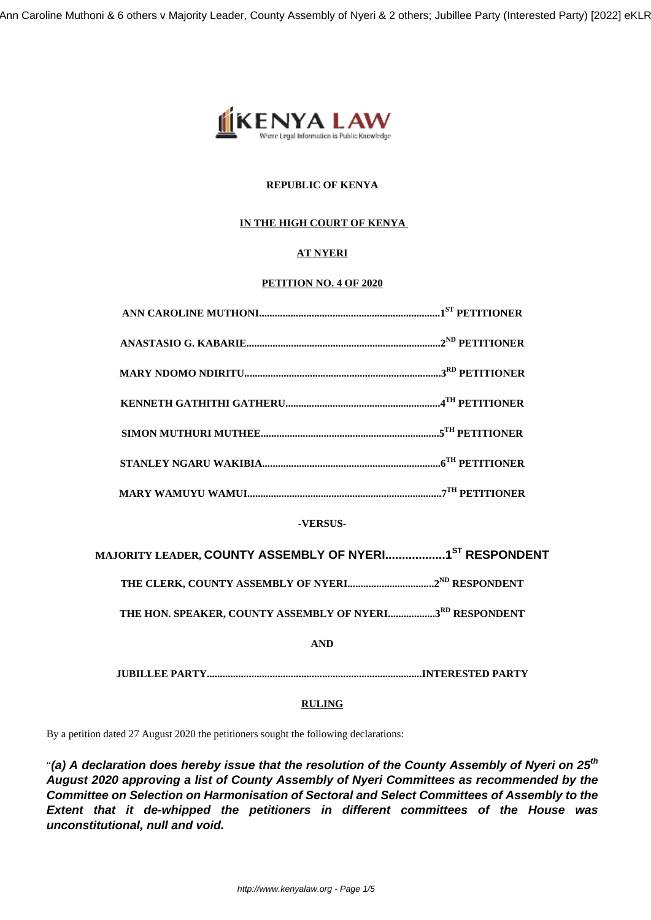

# **REPUBLIC OF KENYA**

# **IN THE HIGH COURT OF KENYA**

# **AT NYERI**

# **PETITION NO. 4 OF 2020**

| -VERSUS-                                                                        |
|---------------------------------------------------------------------------------|
| MAJORITY LEADER, <mark>COUNTY ASSEMBLY OF NYERI1<sup>st</sup> RESPONDENT</mark> |
|                                                                                 |
| THE HON. SPEAKER, COUNTY ASSEMBLY OF NYERI3RD RESPONDENT                        |
| <b>AND</b>                                                                      |
|                                                                                 |
|                                                                                 |

# **RULING**

By a petition dated 27 August 2020 the petitioners sought the following declarations:

"**(a) A declaration does hereby issue that the resolution of the County Assembly of Nyeri on 25th August 2020 approving a list of County Assembly of Nyeri Committees as recommended by the Committee on Selection on Harmonisation of Sectoral and Select Committees of Assembly to the Extent that it de-whipped the petitioners in different committees of the House was unconstitutional, null and void.**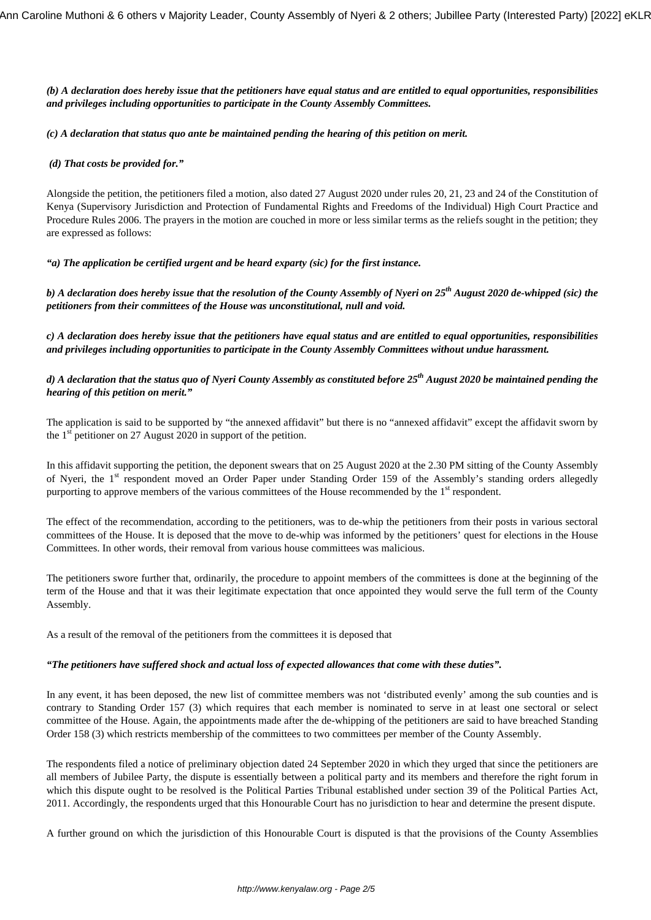*(b) A declaration does hereby issue that the petitioners have equal status and are entitled to equal opportunities, responsibilities and privileges including opportunities to participate in the County Assembly Committees.*

#### *(c) A declaration that status quo ante be maintained pending the hearing of this petition on merit.*

### *(d) That costs be provided for."*

Alongside the petition, the petitioners filed a motion, also dated 27 August 2020 under rules 20, 21, 23 and 24 of the Constitution of Kenya (Supervisory Jurisdiction and Protection of Fundamental Rights and Freedoms of the Individual) High Court Practice and Procedure Rules 2006. The prayers in the motion are couched in more or less similar terms as the reliefs sought in the petition; they are expressed as follows:

#### *"a) The application be certified urgent and be heard exparty (sic) for the first instance.*

*b) A declaration does hereby issue that the resolution of the County Assembly of Nyeri on 25th August 2020 de-whipped (sic) the petitioners from their committees of the House was unconstitutional, null and void.*

*c) A declaration does hereby issue that the petitioners have equal status and are entitled to equal opportunities, responsibilities and privileges including opportunities to participate in the County Assembly Committees without undue harassment.*

# *d) A declaration that the status quo of Nyeri County Assembly as constituted before 25th August 2020 be maintained pending the hearing of this petition on merit."*

The application is said to be supported by "the annexed affidavit" but there is no "annexed affidavit" except the affidavit sworn by the  $1<sup>st</sup>$  petitioner on 27 August 2020 in support of the petition.

In this affidavit supporting the petition, the deponent swears that on 25 August 2020 at the 2.30 PM sitting of the County Assembly of Nyeri, the 1<sup>st</sup> respondent moved an Order Paper under Standing Order 159 of the Assembly's standing orders allegedly purporting to approve members of the various committees of the House recommended by the 1<sup>st</sup> respondent.

The effect of the recommendation, according to the petitioners, was to de-whip the petitioners from their posts in various sectoral committees of the House. It is deposed that the move to de-whip was informed by the petitioners' quest for elections in the House Committees. In other words, their removal from various house committees was malicious.

The petitioners swore further that, ordinarily, the procedure to appoint members of the committees is done at the beginning of the term of the House and that it was their legitimate expectation that once appointed they would serve the full term of the County Assembly.

As a result of the removal of the petitioners from the committees it is deposed that

## *"The petitioners have suffered shock and actual loss of expected allowances that come with these duties".*

In any event, it has been deposed, the new list of committee members was not 'distributed evenly' among the sub counties and is contrary to Standing Order 157 (3) which requires that each member is nominated to serve in at least one sectoral or select committee of the House. Again, the appointments made after the de-whipping of the petitioners are said to have breached Standing Order 158 (3) which restricts membership of the committees to two committees per member of the County Assembly.

The respondents filed a notice of preliminary objection dated 24 September 2020 in which they urged that since the petitioners are all members of Jubilee Party, the dispute is essentially between a political party and its members and therefore the right forum in which this dispute ought to be resolved is the Political Parties Tribunal established under section 39 of the Political Parties Act, 2011. Accordingly, the respondents urged that this Honourable Court has no jurisdiction to hear and determine the present dispute.

A further ground on which the jurisdiction of this Honourable Court is disputed is that the provisions of the County Assemblies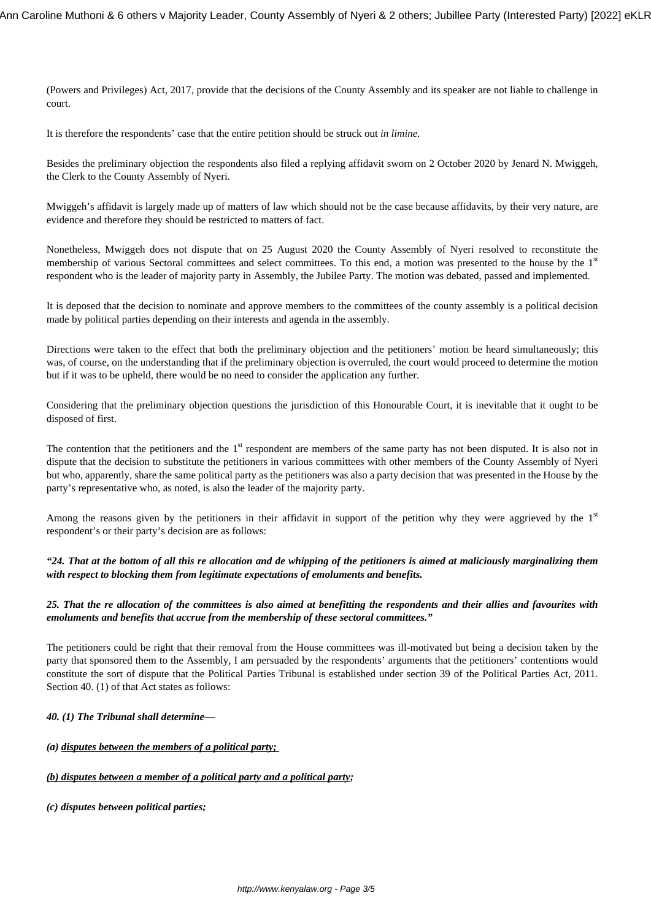(Powers and Privileges) Act, 2017, provide that the decisions of the County Assembly and its speaker are not liable to challenge in court.

It is therefore the respondents' case that the entire petition should be struck out *in limine.*

Besides the preliminary objection the respondents also filed a replying affidavit sworn on 2 October 2020 by Jenard N. Mwiggeh, the Clerk to the County Assembly of Nyeri.

Mwiggeh's affidavit is largely made up of matters of law which should not be the case because affidavits, by their very nature, are evidence and therefore they should be restricted to matters of fact.

Nonetheless, Mwiggeh does not dispute that on 25 August 2020 the County Assembly of Nyeri resolved to reconstitute the membership of various Sectoral committees and select committees. To this end, a motion was presented to the house by the 1<sup>st</sup> respondent who is the leader of majority party in Assembly, the Jubilee Party. The motion was debated, passed and implemented.

It is deposed that the decision to nominate and approve members to the committees of the county assembly is a political decision made by political parties depending on their interests and agenda in the assembly.

Directions were taken to the effect that both the preliminary objection and the petitioners' motion be heard simultaneously; this was, of course, on the understanding that if the preliminary objection is overruled, the court would proceed to determine the motion but if it was to be upheld, there would be no need to consider the application any further.

Considering that the preliminary objection questions the jurisdiction of this Honourable Court, it is inevitable that it ought to be disposed of first.

The contention that the petitioners and the  $1<sup>st</sup>$  respondent are members of the same party has not been disputed. It is also not in dispute that the decision to substitute the petitioners in various committees with other members of the County Assembly of Nyeri but who, apparently, share the same political party as the petitioners was also a party decision that was presented in the House by the party's representative who, as noted, is also the leader of the majority party.

Among the reasons given by the petitioners in their affidavit in support of the petition why they were aggrieved by the  $1<sup>st</sup>$ respondent's or their party's decision are as follows:

*"24. That at the bottom of all this re allocation and de whipping of the petitioners is aimed at maliciously marginalizing them with respect to blocking them from legitimate expectations of emoluments and benefits.*

## *25. That the re allocation of the committees is also aimed at benefitting the respondents and their allies and favourites with emoluments and benefits that accrue from the membership of these sectoral committees."*

The petitioners could be right that their removal from the House committees was ill-motivated but being a decision taken by the party that sponsored them to the Assembly, I am persuaded by the respondents' arguments that the petitioners' contentions would constitute the sort of dispute that the Political Parties Tribunal is established under section 39 of the Political Parties Act, 2011. Section 40. (1) of that Act states as follows:

## *40. (1) The Tribunal shall determine—*

*(a) disputes between the members of a political party;* 

## *(b) disputes between a member of a political party and a political party;*

*(c) disputes between political parties;*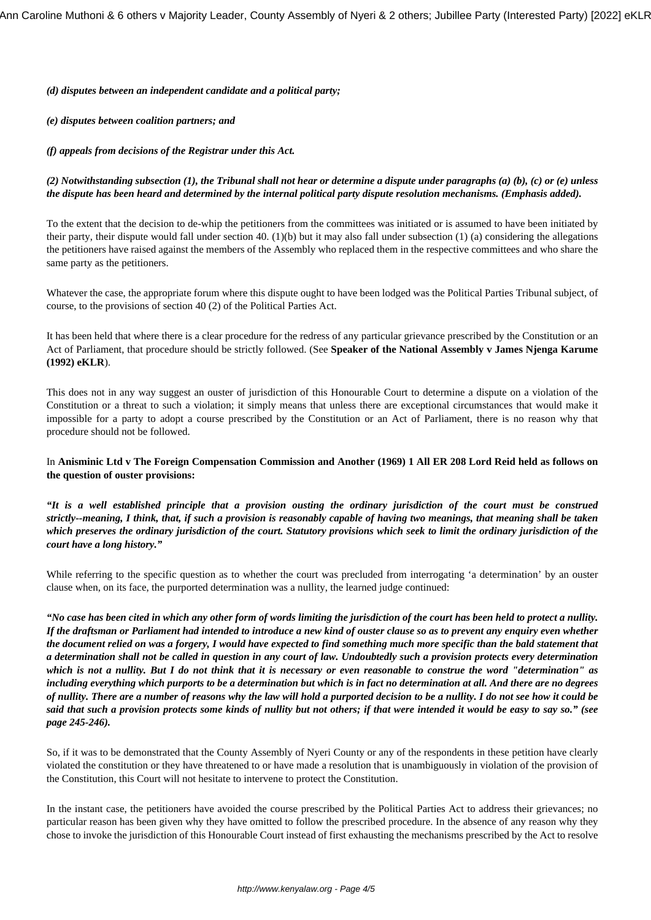*(d) disputes between an independent candidate and a political party;* 

*(e) disputes between coalition partners; and* 

*(f) appeals from decisions of the Registrar under this Act.* 

## *(2) Notwithstanding subsection (1), the Tribunal shall not hear or determine a dispute under paragraphs (a) (b), (c) or (e) unless the dispute has been heard and determined by the internal political party dispute resolution mechanisms. (Emphasis added).*

To the extent that the decision to de-whip the petitioners from the committees was initiated or is assumed to have been initiated by their party, their dispute would fall under section 40. (1)(b) but it may also fall under subsection (1) (a) considering the allegations the petitioners have raised against the members of the Assembly who replaced them in the respective committees and who share the same party as the petitioners.

Whatever the case, the appropriate forum where this dispute ought to have been lodged was the Political Parties Tribunal subject, of course, to the provisions of section 40 (2) of the Political Parties Act.

It has been held that where there is a clear procedure for the redress of any particular grievance prescribed by the Constitution or an Act of Parliament, that procedure should be strictly followed. (See **Speaker of the National Assembly v James Njenga Karume (1992) eKLR**).

This does not in any way suggest an ouster of jurisdiction of this Honourable Court to determine a dispute on a violation of the Constitution or a threat to such a violation; it simply means that unless there are exceptional circumstances that would make it impossible for a party to adopt a course prescribed by the Constitution or an Act of Parliament, there is no reason why that procedure should not be followed.

## In **Anisminic Ltd v The Foreign Compensation Commission and Another (1969) 1 All ER 208 Lord Reid held as follows on the question of ouster provisions:**

*"It is a well established principle that a provision ousting the ordinary jurisdiction of the court must be construed strictly--meaning, I think, that, if such a provision is reasonably capable of having two meanings, that meaning shall be taken which preserves the ordinary jurisdiction of the court. Statutory provisions which seek to limit the ordinary jurisdiction of the court have a long history."* 

While referring to the specific question as to whether the court was precluded from interrogating 'a determination' by an ouster clause when, on its face, the purported determination was a nullity, the learned judge continued:

*"No case has been cited in which any other form of words limiting the jurisdiction of the court has been held to protect a nullity. If the draftsman or Parliament had intended to introduce a new kind of ouster clause so as to prevent any enquiry even whether the document relied on was a forgery, I would have expected to find something much more specific than the bald statement that a determination shall not be called in question in any court of law. Undoubtedly such a provision protects every determination which is not a nullity. But I do not think that it is necessary or even reasonable to construe the word "determination" as including everything which purports to be a determination but which is in fact no determination at all. And there are no degrees of nullity. There are a number of reasons why the law will hold a purported decision to be a nullity. I do not see how it could be said that such a provision protects some kinds of nullity but not others; if that were intended it would be easy to say so." (see page 245-246).*

So, if it was to be demonstrated that the County Assembly of Nyeri County or any of the respondents in these petition have clearly violated the constitution or they have threatened to or have made a resolution that is unambiguously in violation of the provision of the Constitution, this Court will not hesitate to intervene to protect the Constitution.

In the instant case, the petitioners have avoided the course prescribed by the Political Parties Act to address their grievances; no particular reason has been given why they have omitted to follow the prescribed procedure. In the absence of any reason why they chose to invoke the jurisdiction of this Honourable Court instead of first exhausting the mechanisms prescribed by the Act to resolve